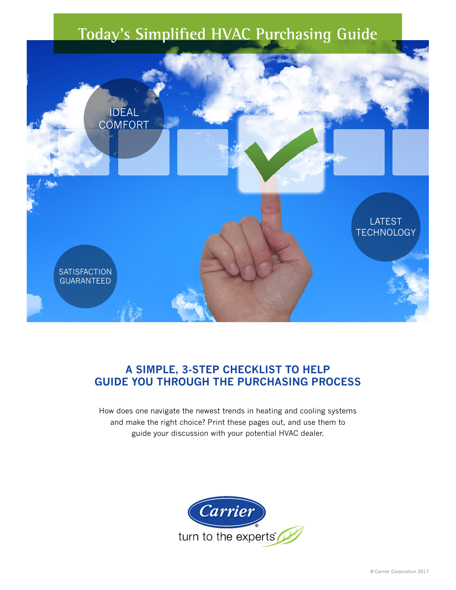## **Today's Simplified HVAC Purchasing Guide**



### **A SIMPLE, 3-STEP CHECKLIST TO HELP GUIDE YOU THROUGH THE PURCHASING PROCESS**

How does one navigate the newest trends in heating and cooling systems and make the right choice? Print these pages out, and use them to guide your discussion with your potential HVAC dealer.

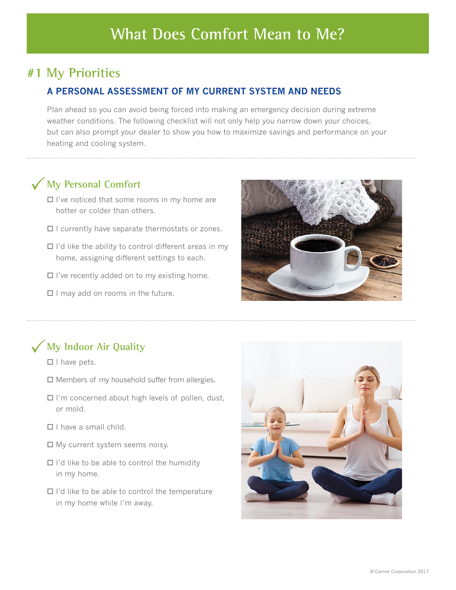### **#1 My Priorities**

### **A PERSONAL ASSESSMENT OF MY CURRENT SYSTEM AND NEEDS**

Plan ahead so you can avoid being forced into making an emergency decision during extreme weather conditions. The following checklist will not only help you narrow down your choices, but can also prompt your dealer to show you how to maximize savings and performance on your heating and cooling system.

# **My Personal Comfort** P

- $\Box$  I've noticed that some rooms in my home are hotter or colder than others.
- $\Box$  I currently have separate thermostats or zones.
- $\Box$  I'd like the ability to control different areas in my home, assigning different settings to each.
- $\square$  I've recently added on to my existing home.
- $\Box$  I may add on rooms in the future.



# **My Indoor Air Quality** P

- $\Box$  I have pets.
- $\square$  Members of my household suffer from allergies.
- $\Box$  I'm concerned about high levels of pollen, dust, or mold.
- $\Box$  I have a small child.
- $\Box$  My current system seems noisy.
- $\Box$  I'd like to be able to control the humidity in my home.
- $\Box$  I'd like to be able to control the temperature in my home while I'm away.

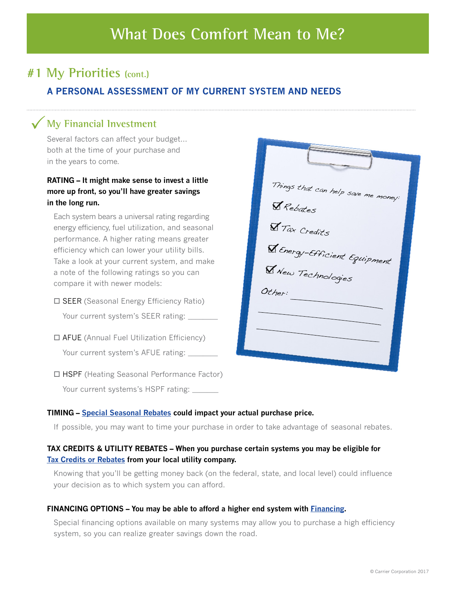## **#1 My Priorities (cont.)**

### **A PERSONAL ASSESSMENT OF MY CURRENT SYSTEM AND NEEDS**

# **My Financial Investment** P

Several factors can affect your budget… both at the time of your purchase and in the years to come.

### **RATING – It might make sense to invest a little more up front, so you'll have greater savings in the long run.**

Each system bears a universal rating regarding energy efficiency, fuel utilization, and seasonal performance. A higher rating means greater efficiency which can lower your utility bills. Take a look at your current system, and make a note of the following ratings so you can compare it with newer models:

 $\square$  SEER (Seasonal Energy Efficiency Ratio)

Your current system's SEER rating:

- $\Box$  AFUE (Annual Fuel Utilization Efficiency) Your current system's AFUE rating: \_
- $\Box$  HSPF (Heating Seasonal Performance Factor) Your current systems's HSPF rating:

| Things that can help save me money:<br>Rebates     |
|----------------------------------------------------|
| <b>Y</b> Tax Credits                               |
| V Energy-Efficient Equipment<br>V New Technologies |
| Other:                                             |
|                                                    |
|                                                    |

#### **TIMING – [Special Seasonal Rebates](http://www.carrier.com/residential/en/us/rebates-and-financing/#0) could impact your actual purchase price.**

If possible, you may want to time your purchase in order to take advantage of seasonal rebates.

### **TAX CREDITS & UTILITY REBATES – When you purchase certain systems you may be eligible for [Tax Credits or Rebates](http://www.carrier.com/residential/en/us/rebates-and-financing/#0) from your local utility company.**

Knowing that you'll be getting money back (on the federal, state, and local level) could influence your decision as to which system you can afford.

#### **FINANCING OPTIONS – You may be able to afford a higher end system with [Financing](http://www.carrier.com/residential/en/us/rebates-and-financing/#0).**

Special financing options available on many systems may allow you to purchase a high efficiency system, so you can realize greater savings down the road.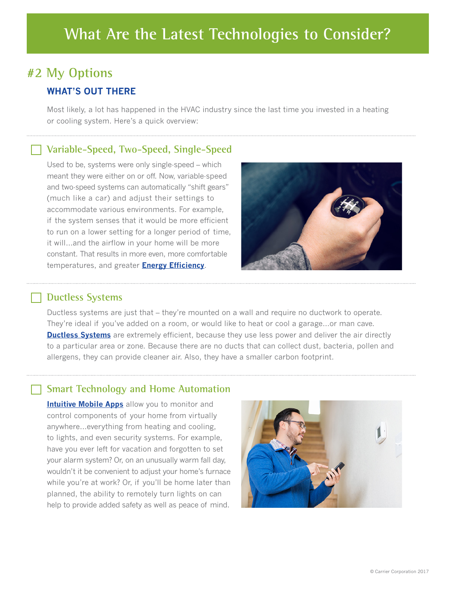## **What Are the Latest Technologies to Consider?**

## **#2 My Options WHAT'S OUT THERE**

Most likely, a lot has happened in the HVAC industry since the last time you invested in a heating or cooling system. Here's a quick overview:

### **Variable-Speed, Two-Speed, Single-Speed**

Used to be, systems were only single-speed – which meant they were either on or off. Now, variable-speed and two-speed systems can automatically "shift gears" (much like a car) and adjust their settings to accommodate various environments. For example, if the system senses that it would be more efficient to run on a lower setting for a longer period of time, it will…and the airflow in your home will be more constant. That results in more even, more comfortable temperatures, and greater **E[nergy Efficiency](https://www.carrier.com/residential/en/us/variablespeed/#1)**.



### **Ductless Systems**

Ductless systems are just that – they're mounted on a wall and require no ductwork to operate. They're ideal if you've added on a room, or would like to heat or cool a garage…or man cave. **[Ductless Systems](https://www.carrier.com/residential/en/us/ductless/)** are extremely efficient, because they use less power and deliver the air directly to a particular area or zone. Because there are no ducts that can collect dust, bacteria, pollen and allergens, they can provide cleaner air. Also, they have a smaller carbon footprint.

### **Smart Technology and Home Automation**

**[Intuitive Mobile Apps](https://www.carrier.com/residential/en/us/cor-home-automation/)** allow you to monitor and control components of your home from virtually anywhere…everything from heating and cooling, to lights, and even security systems. For example, have you ever left for vacation and forgotten to set your alarm system? Or, on an unusually warm fall day, wouldn't it be convenient to adjust your home's furnace while you're at work? Or, if you'll be home later than planned, the ability to remotely turn lights on can help to provide added safety as well as peace of mind.

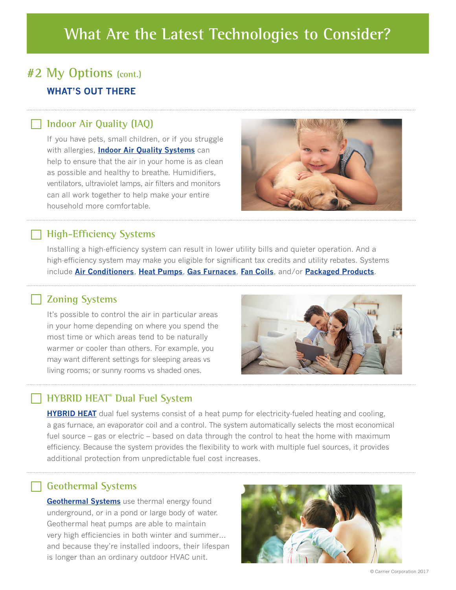## **What Are the Latest Technologies to Consider?**

## **#2 My Options (cont.) WHAT'S OUT THERE**

### **Indoor Air Quality (IAQ)**

If you have pets, small children, or if you struggle with allergies, **[Indoor Air Quality Systems](https://www.carrier.com/residential/en/us/products/indoor-air-quality/)** can help to ensure that the air in your home is as clean as possible and healthy to breathe. Humidifiers, ventilators, ultraviolet lamps, air filters and monitors can all work together to help make your entire household more comfortable.



### **High-Efficiency Systems**

Installing a high-efficiency system can result in lower utility bills and quieter operation. And a high-efficiency system may make you eligible for significant tax credits and utility rebates. Systems include **[Air Conditioners](https://www.carrier.com/residential/en/us/products/air-conditioners/)**, **[Heat Pumps](https://www.carrier.com/residential/en/us/products/heat-pumps/)**, **[Gas Furnaces](https://www.carrier.com/residential/en/us/products/gas-furnaces/)**, **[Fan Coils](https://www.carrier.com/residential/en/us/products/fan-coils/)**, and/or **[Packaged Products](https://www.carrier.com/residential/en/us/products/packaged-products/)**.

### **Zoning Systems**

It's possible to control the air in particular areas in your home depending on where you spend the most time or which areas tend to be naturally warmer or cooler than others. For example, you may want different settings for sleeping areas vs living rooms; or sunny rooms vs shaded ones.



### **HYBRID HEAT® Dual Fuel System**

**[HYBRID HEAT](https://www.carrier.com/residential/en/us/innovation/#2)** dual fuel systems consist of a heat pump for electricity-fueled heating and cooling, a gas furnace, an evaporator coil and a control. The system automatically selects the most economical fuel source – gas or electric – based on data through the control to heat the home with maximum efficiency. Because the system provides the flexibility to work with multiple fuel sources, it provides additional protection from unpredictable fuel cost increases.

### **Geothermal Systems**

**[Geothermal Systems](https://www.carrier.com/residential/en/us/geothermal/)** use thermal energy found underground, or in a pond or large body of water. Geothermal heat pumps are able to maintain very high efficiencies in both winter and summer… and because they're installed indoors, their lifespan is longer than an ordinary outdoor HVAC unit.